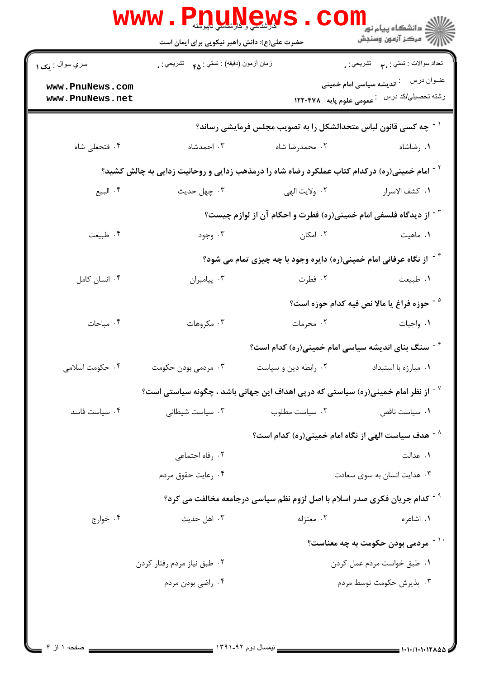| سري سوال : يک ۱                    | زمان أزمون (دقيقه) : تستى : ۴۵ - تشريحي |                                                                                                                    | تعداد سوالات : تستبي : ٩. مسمد التشريحي : .            |
|------------------------------------|-----------------------------------------|--------------------------------------------------------------------------------------------------------------------|--------------------------------------------------------|
|                                    |                                         |                                                                                                                    | عنــوان درس       : <b>اندیشه سیاسی امام خمینی</b>     |
| www.PnuNews.com<br>www.PnuNews.net |                                         |                                                                                                                    | رشته تحصیلی/کد در س ۔ عمومی علوم پایه– ۱۲۲۰۴۷۸         |
|                                    |                                         | $^{\circ}$ - چه کسی قانون لباس متحدالشکل را به تصویب مجلس فرمایشی رساند $^{\circ}$                                 |                                                        |
| ۰۴ فتحعلي شاه                      | ۰۳ احمدشاه                              | ۰۲ محمدرضا شاه                                                                                                     | ۰۱ رضاشاه                                              |
|                                    |                                         | <sup>۲</sup> <sup>-</sup> امام خمینی(ره) درکدام کتاب عملکرد رضاه شاه را درمذهب زدایی و روحانیت زدایی به چالش کشید؟ |                                                        |
| ۰۴ البيع                           | ۰۳ چهل حديث                             | ۲. ولايت الهي                                                                                                      | ٠١. كشف الاسرار                                        |
|                                    |                                         | <sup>۳ -</sup> از دیدگاه فلسفی امام خمینی(ره) فطرت و احکام آن از لوازم چیست؟                                       |                                                        |
| ۰۴ طبیعت                           | ۰۳ وجود                                 | ۰۲ امکان                                                                                                           | ۰۱ ماهيت                                               |
|                                    |                                         | <sup>۶</sup> <sup>-</sup> از نگاه عرفانی امام خمینی(ره) دایره وجود با چه چیزی تمام می شود؟                         |                                                        |
| ۰۴ انسان کامل                      | ۰۳ پیامبران                             | ۰۲ فطرت                                                                                                            | ٠١ طبيعت                                               |
|                                    |                                         |                                                                                                                    | <sup>۵ -</sup> حوزه فراغ یا مالا نص فیه کدام حوزه است؟ |
| ۰۴ مباحات                          | ۰۳ مکروهات                              | ۰۲ محرمات                                                                                                          | ٠١. واجبات                                             |
|                                    |                                         | <sup>7</sup> <sup>-</sup> سنگ بنای اندیشه سیاسی امام خمینی(ره) کدام است؟                                           |                                                        |
| ۰۴ حکومت اسلامی                    | ۰۳ مردمی بودن حکومت                     | ۰۲ رابطه دین و سیاست                                                                                               | ۰۱ مبارزه با استبداد                                   |
|                                    |                                         | از نظر امام خمینی(ره) سیاستی که درپی اهداف این جهانی باشد ، چگونه سیاستی است؟ $^\vee$                              |                                                        |
| ۰۴ سیاست فاسد                      | ۰۳ سیاست شیطانی                         | ۰۲ سیاست مطلوب                                                                                                     | ٠١. سياست ناقص                                         |
|                                    |                                         | <sup>^ -</sup> هدف سیاست الهی از نگاه امام خمینی(ره) کدام است؟                                                     |                                                        |
|                                    | ۰۲ رفاه اجتماعی                         |                                                                                                                    | ۰۱ عدالت                                               |
|                                    | ۰۴ رعایت حقوق مردم                      |                                                                                                                    | ۰۳ هدایت انسان به سوی سعادت                            |
|                                    |                                         | <sup>9 -</sup> كدام جریان فكری صدر اسلام با اصل لزوم نظم سیاسی درجامعه مخالفت می كرد؟                              |                                                        |
| ۰۴ خوارج                           | ۰۳ اهل حدیث                             | ۰۲ معتزله                                                                                                          | ۰۱ اشاعره                                              |
|                                    |                                         |                                                                                                                    | `` ~ مردمی بودن حکومت به چه معناست؟                    |
|                                    | ۰۲ طبق نیاز مردم رفتار کردن             |                                                                                                                    | ٠١ طبق خواست مردم عمل كردن                             |
|                                    | ۰۴ راضي بودن مردم                       |                                                                                                                    | ۰۳ پذیرش حکومت توسط مردم                               |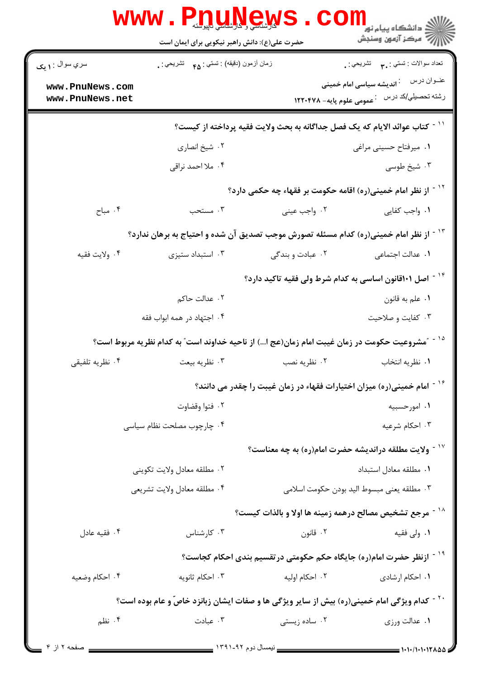| سري سوال : ۱ يک | زمان أزمون (دقيقه) : تستي : ۴۵ — تشريحي : . | حضرت علی(ع): دانش راهبر نیکویی برای ایمان است                                                           | تحداد سوالات : تستبي : ٩. م       تشريحي : .   |
|-----------------|---------------------------------------------|---------------------------------------------------------------------------------------------------------|------------------------------------------------|
| www.PnuNews.com |                                             |                                                                                                         |                                                |
| www.PnuNews.net |                                             |                                                                                                         | رشته تحصیلی/کد در س ۔ عمومی علوم پایه– ۱۲۲۰۴۷۸ |
|                 |                                             | ّ ` ` - كتاب عوائد الايام كه يك فصل جداگانه به بحث ولايت فقيه پرداخته از كيست؟                          |                                                |
|                 | ۰۲ شیخ انصاری                               |                                                                                                         | ٠١ ميرفتاح حسيني مراغي                         |
|                 | ۰۴ ملا احمد نراقي                           |                                                                                                         | ۰۳ شیخ طوسی                                    |
|                 |                                             | <sup>۱۲ -</sup> از نظر امام خمینی(ره) اقامه حکومت بر فقهاء چه حکمی دارد؟                                |                                                |
| ۰۴ مباح         | ۰۳ مستحب                                    | ۰۲ واجب عيني                                                                                            | ۰۱ واجب کفایی                                  |
|                 |                                             | <sup>۱۳ -</sup> از نظر امام خمینی(ره) کدام مسئله تصورش موجب تصدیق آن شده و احتیاج به برهان ندارد؟       |                                                |
| ۰۴ ولايت فقيه   | ۰۳ استبداد ستيزى                            | ۲. عبادت و بندگی                                                                                        | ۰۱ عدالت اجتماع <sub>ی</sub>                   |
|                 |                                             | <sup>۱۴ -</sup> اصل <b>۱۰۱قانون اساسی به کدام شرط ولی فقیه تاکید دارد</b> ؟                             |                                                |
|                 | ۰۲ عدالت حاکم                               |                                                                                                         | ۰۱ علم به قانون                                |
|                 | ۰۴ اجتهاد در همه ابواب فقه                  |                                                                                                         | ۰۳ کفایت و صلاحیت                              |
|                 |                                             | ″مشروعیت حکومت در زمان غیبت امام زمان(عج ا…) از ناحیه خداوند است″ به کدام نظریه مربوط است؟              |                                                |
| ۰۴ نظریه تلفیقی | ۰۳ نظريه بيعت                               | ۰۲ نظریه نصب                                                                                            | ٠١ نظريه انتخاب                                |
|                 |                                             | <sup>۱۶ -</sup> امام خمینی(ره) میزان اختیارات فقهاء در زمان غیبت را چقدر می دانند؟                      |                                                |
|                 | ۰۲ فتوا وقضاوت                              |                                                                                                         | ۰۱ امورحسبیه                                   |
|                 | ۰۴ چارچوب مصلحت نظام سیاسی                  |                                                                                                         | ۰۳ احکام شرعیه                                 |
|                 |                                             | ولایت مطلقه دراندیشه حضرت امام(ره) به چه معناست؟ $^{\circ}$                                             |                                                |
|                 | ٠٢ مطلقه معادل ولايت تكويني                 |                                                                                                         | ٠١. مطلقه معادل استبداد                        |
|                 | ۰۴ مطلقه معادل ولايت تشريعي                 |                                                                                                         | ٠٣ مطلقه يعني مبسوط اليد بودن حكومت اسلامي     |
|                 |                                             | <sup>۱۸ -</sup> مرجع تشخیص مصالح درهمه زمینه ها اولا و بالذات کیست؟                                     |                                                |
| ۰۴ فقیه عادل    | ۰۳ کارشناس                                  | ۰۲ قانون                                                                                                | ۰۱ ولی فقیه                                    |
|                 |                                             | <sup>۱۹ -</sup> ازنظر حضرت امام(ره) جایگاه حکم حکومتی درتقسیم بندی احکام کجاست؟                         |                                                |
| ۰۴ احکام وضعیه  | ۰۳ احکام ثانویه                             | ۰۲ احکام اولیه                                                                                          | ۰۱ احکام ارشادی                                |
|                 |                                             | <sup>۲۰ -</sup> کدام ویژگی امام خمینی(ره) بیش از سایر ویژگی ها و صفات ایشان زبانزد خاصّ و عام بوده است؟ |                                                |
| ۰۴ نظم          | ۰۳ عبادت                                    | ۰۲ ساده زیستی                                                                                           | ٠١ عدالت ورزى                                  |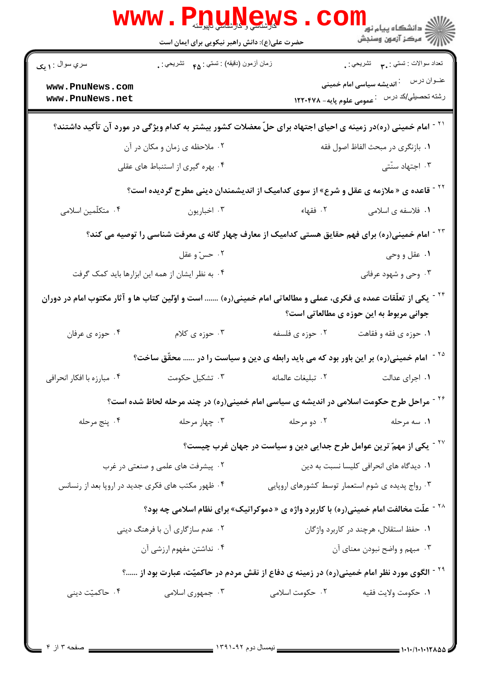| تعداد سوالات : تستي : پم       تشريحي : <sub>.</sub>                           |                    | زمان أزمون (دقيقه) : تستى : <sub>۴۵</sub> تشريحي : .                                                                     | سري سوال : ۱ يک                                   |
|--------------------------------------------------------------------------------|--------------------|--------------------------------------------------------------------------------------------------------------------------|---------------------------------------------------|
|                                                                                |                    |                                                                                                                          | www.PnuNews.com                                   |
| رشته تحصیلي/کد در س ۔ عمومی علوم پایه– ۱۲۲۰۴۷۸                                 |                    |                                                                                                                          | www.PnuNews.net                                   |
|                                                                                |                    | <sup>۲۱ -</sup> امام خمینی (ره)در زمینه ی احیای اجتهاد برای حلّ معضلات کشور بیشتر به کدام ویژگی در مورد آن تأکید داشتند؟ |                                                   |
| ٠١ بازنگري در مبحث الفاظ اصول فقه                                              |                    | ۰۲ ملاحظه ی زمان و مکان در آن                                                                                            |                                                   |
| ۰۳ اجتهاد سنّتی                                                                |                    | ۰۴ بهره گیری از استنباط های عقلی                                                                                         |                                                   |
|                                                                                |                    | <sup>۲۲ -</sup> قاعده ی « ملازمه ی عقل و شرع» از سوی کدامیک از اندیشمندان دینی مطرح گردیده است؟                          |                                                   |
| ١. فلاسفه ي اسلامي                                                             | ۰۲ فقهاء           | ۰۳ اخباريون                                                                                                              | ۰۴ متکلّمین اسلامی                                |
|                                                                                |                    | <sup>۲۳ -</sup> امام خمینی(ره) برای فهم حقایق هستی کدامیک از معارف چهار گانه ی معرفت شناسی را توصیه می کند؟              |                                                   |
| ۰۱ عقل و وحي                                                                   |                    | ۰۲ حسّ و عقل                                                                                                             |                                                   |
| ۰۳ وحی و شهود عرفانی                                                           |                    | ۰۴ به نظر ایشان از همه این ابزارها باید کمک گرفت                                                                         |                                                   |
| جوانی مربوط به این حوزه ی مطالعاتی است؟                                        |                    | یکی از تعلّقات عمده ی فکری، عملی و مطالعاتی امام خمینی(ره)  است و اوّلین کتاب ها و آثار مکتوب امام در دوران              |                                                   |
| ۰۱ حوزه ی فقه و فقاهت                                                          | ۰۲ حوزه ی فلسفه    | ۰۳ حوزه ی کلام                                                                                                           | ۰۴ حوزه ي عرفان                                   |
|                                                                                |                    | امام خمینی(ره) بر این باور بود که می باید رابطه ی دین و سیاست را در  محقّق ساخت؟                                         |                                                   |
| ۰۱ اجرای عدالت                                                                 | ٠٢ تبليغات عالمانه | ۰۳ تشکیل حکومت                                                                                                           | ۰۴ مبارزه با افکار انحرافی                        |
|                                                                                |                    | <sup>۲۶ -</sup> مراحل طرح حکومت اسلامی در اندیشه ی سیاسی امام خمینی(ره) در چند مرحله لحاظ شده است؟                       |                                                   |
| ۰۱ سه مرحله                                                                    | ۰۲ دو مرحله        | ۰۳ چهار مرحله                                                                                                            | ۰۴ پنج مرحله                                      |
| <sup>۲۷ -</sup> یکی از مهمّ ترین عوامل طرح جدایی دین و سیاست در جهان غرب چیست؟ |                    |                                                                                                                          |                                                   |
| ٠١ ديدگاه هاي انحرافي كليسا نسبت به دين                                        |                    | ۰۲ پیشرفت های علمی و صنعتی در غرب                                                                                        |                                                   |
| ۰۳ رواج پدیده ی شوم استعمار توسط کشورهای اروپایی                               |                    |                                                                                                                          | ۰۴ ظهور مکتب های فکری جدید در اروپا بعد از رنسانس |
|                                                                                |                    | <sup>۲۸ -</sup> علّت مخالفت امام خمینی(ره) با کاربرد واژه ی « دموکراتیک» برای نظام اسلامی چه بود؟                        |                                                   |
| ۰۱ حفظ استقلال، هرچند در کاربرد واژگان                                         |                    | ۰۲ عدم سازگاری آن با فرهنگ دینی                                                                                          |                                                   |
| ۰۳ مبهم و واضح نبودن معناي آن                                                  |                    | ۰۴ نداشتن مفهوم ارزشي آن                                                                                                 |                                                   |
|                                                                                |                    | <sup>۲۹ -</sup> الگوی مورد نظر امام خمینی(ره) در زمینه ی دفاع از نقش مردم در حاکمیّت، عبارت بود از ؟                     |                                                   |
| ٠١ حكومت ولايت فقيه                                                            | ۰۲ حکومت اسلامی    | ۰۳ جمهوری اسلامی                                                                                                         | ۰۴ حاکمیّت دینی                                   |